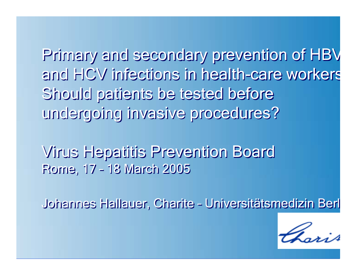Primary and secondary prevention of HBV and HCV infections in health-care worker s and HCV infections in health-care worker s Should patients be tested before Should patients be tested before undergoing invasive procedures? undergoing invasive procedures?

Virus Hepatitis Prevention Board Virus Hepatitis Prevention Board Rome, 17 – 18 March 2005 Rome, 17 – 18 March 2005

Johannes Hallauer, Charite – Universitätsmedizin Berl Johannes Hallauer, Charite – Universitätsmedizin Berl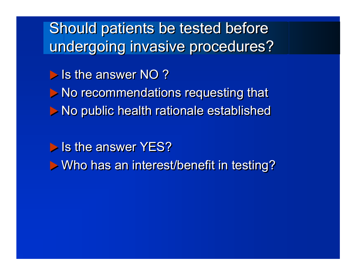Should patients be tested before Should patients be tested before undergoing invasive procedures? undergoing invasive procedures?

Is the answer NO?

**I** No recommendations requesting that

X No public health rationale established X No public health rationale established

**I** Is the answer YES?

**I** Who has an interest/benefit in testing?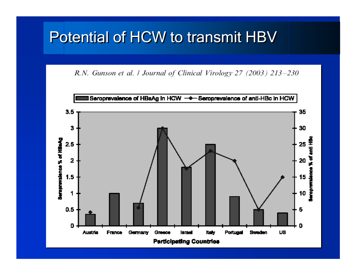# Potential of HCW to transmit HBV

R.N. Gunson et al. / Journal of Clinical Virology 27 (2003) 213-230

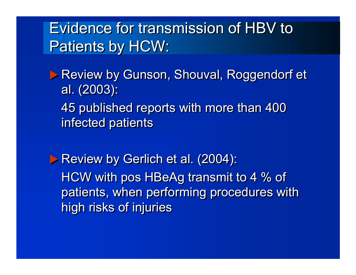Evidence for transmission of HBV to Evidence for transmission of HBV to Patients by HCW: Patients by HCW:

**D** Review by Gunson, Shouval, Roggendorf et al. (2003): al. (2003):

45 published reports with more than 400 45 published reports with more than 400 infected patients infected patients

X Review by Gerlich et al. (2004): X Review by Gerlich et al. (2004): HCW with pos HBeAg transmit to 4 % of HCW with pos HBeAg transmit to 4 % of patients, when performing procedures with patients, when performing procedures with high risks of injuries high risks of injuries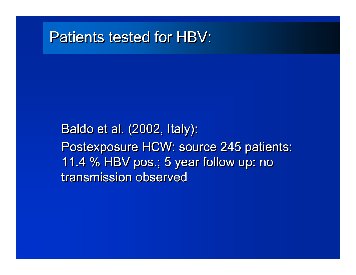#### Patients tested for HBV:

Baldo et al. (2002, Italy): Baldo et al. (2002, Italy): Postexposure HCW: source 245 patients: Postexposure HCW: source 245 patients: 11.4 % HBV pos.; 5 year follow up: no 11.4 % HBV pos.; 5 year follow up: no transmission observed transmission observed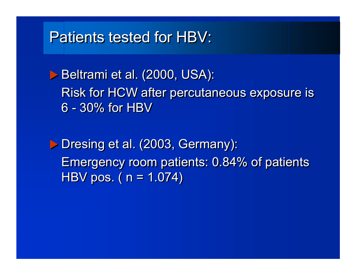### Patients tested for HBV:

X Beltrami et al. (2000, USA): X Beltrami et al. (2000, USA): Risk for HCW after percutaneous exposure is Risk for HCW after percutaneous exposure is 6 - 30% for HBV 6 - 30% for HBV

X Dresing et al. (2003, Germany): X Dresing et al. (2003, Germany): Emergency room patients: 0.84% of patients Emergency room patients: 0.84% of patients HBV pos. ( n = 1.074) HBV pos. ( n = 1.074)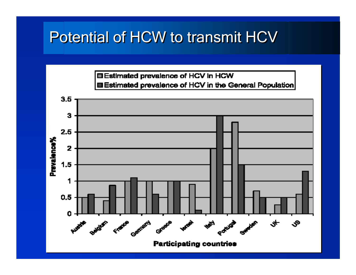# Potential of HCW to transmit HCV



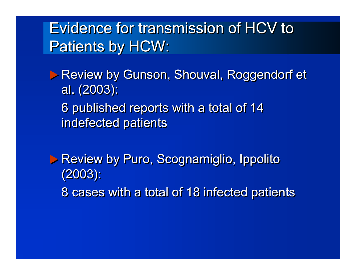Evidence for transmission of HCV to Evidence for transmission of HCV to Patients by HCW: Patients by HCW:

**D** Review by Gunson, Shouval, Roggendorf et al. (2003): al. (2003):

6 published reports with a total of 14 6 published reports with a total of 14 indefected patients indefected patients

**Example 18 Review by Puro, Scognamiglio, Ippolito** (2003): (2003):

8 cases with a total of 18 infected patients 8 cases with a total of 18 infected patients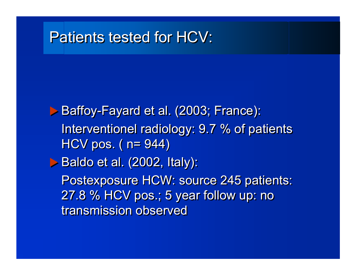### Patients tested for HCV:

X Baffoy-Fayard et al. (2003; France): X Baffoy-Fayard et al. (2003; France): Interventionel radiology: 9.7 % of patients Interventionel radiology: 9.7 % of patients HCV pos. ( n= 944) HCV pos. ( n= 944) X Baldo et al. (2002, Italy): X Baldo et al. (2002, Italy): Postexposure HCW: source 245 patients: Postexposure HCW: source 245 patients: 27.8 % HCV pos.; 5 year follow up: no 27.8 % HCV pos.; 5 year follow up: no transmission observed transmission observed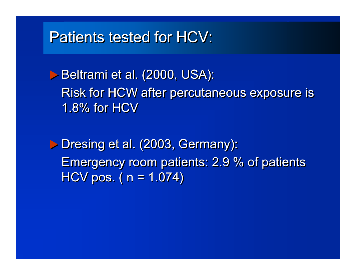# Patients tested for HCV:

X Beltrami et al. (2000, USA): X Beltrami et al. (2000, USA): Risk for HCW after percutaneous exposure is Risk for HCW after percutaneous exposure is 1.8% for HCV 1.8% for HCV

X Dresing et al. (2003, Germany): X Dresing et al. (2003, Germany): Emergency room patients: 2.9 % of patients Emergency room patients: 2.9 % of patients HCV pos. ( n = 1.074) HCV pos. ( n = 1.074)